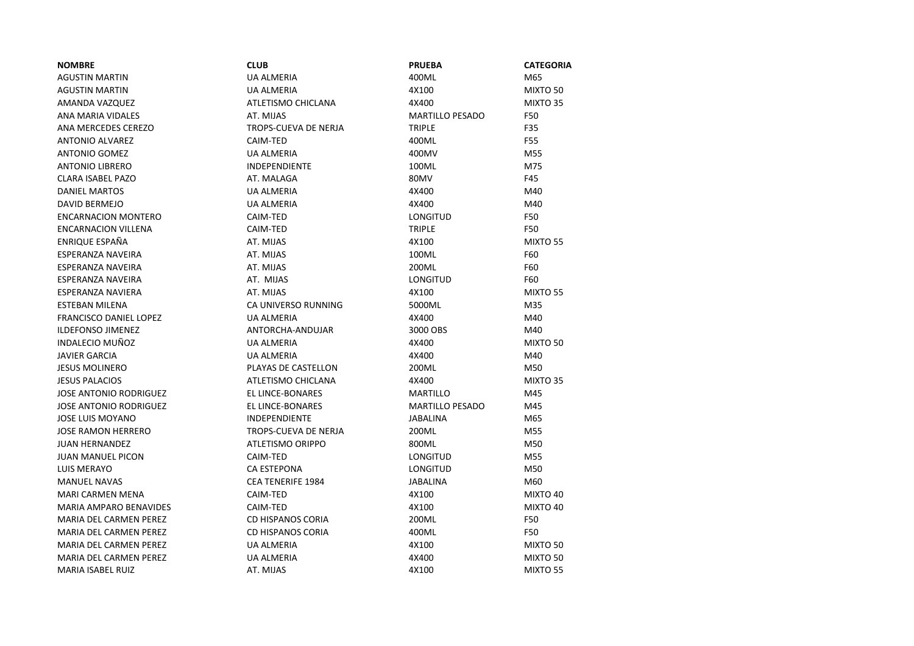| <b>NOMBRE</b>                 | <b>CLUB</b>                 | <b>PRUEBA</b>          | <b>CATEGORIA</b> |
|-------------------------------|-----------------------------|------------------------|------------------|
| <b>AGUSTIN MARTIN</b>         | <b>UA ALMERIA</b>           | 400ML                  | M65              |
| <b>AGUSTIN MARTIN</b>         | <b>UA ALMERIA</b>           | 4X100                  | MIXTO 50         |
| AMANDA VAZQUEZ                | ATLETISMO CHICLANA          | 4X400                  | MIXTO 35         |
| ANA MARIA VIDALES             | AT. MIJAS                   | <b>MARTILLO PESADO</b> | F50              |
| ANA MERCEDES CEREZO           | <b>TROPS-CUEVA DE NERJA</b> | <b>TRIPLE</b>          | F35              |
| <b>ANTONIO ALVAREZ</b>        | CAIM-TED                    | 400ML                  | F55              |
| <b>ANTONIO GOMEZ</b>          | <b>UA ALMERIA</b>           | 400MV                  | M55              |
| <b>ANTONIO LIBRERO</b>        | <b>INDEPENDIENTE</b>        | 100ML                  | M75              |
| <b>CLARA ISABEL PAZO</b>      | AT. MALAGA                  | 80MV                   | F45              |
| <b>DANIEL MARTOS</b>          | <b>UA ALMERIA</b>           | 4X400                  | M40              |
| <b>DAVID BERMEJO</b>          | <b>UA ALMERIA</b>           | 4X400                  | M40              |
| <b>ENCARNACION MONTERO</b>    | CAIM-TED                    | <b>LONGITUD</b>        | F50              |
| <b>ENCARNACION VILLENA</b>    | CAIM-TED                    | <b>TRIPLE</b>          | F50              |
| ENRIQUE ESPAÑA                | AT. MIJAS                   | 4X100                  | MIXTO 55         |
| <b>ESPERANZA NAVEIRA</b>      | AT. MIJAS                   | 100ML                  | F60              |
| ESPERANZA NAVEIRA             | AT. MIJAS                   | 200ML                  | F60              |
| ESPERANZA NAVEIRA             | AT. MIJAS                   | <b>LONGITUD</b>        | F60              |
| ESPERANZA NAVIERA             | AT. MIJAS                   | 4X100                  | MIXTO 55         |
| <b>ESTEBAN MILENA</b>         | CA UNIVERSO RUNNING         | 5000ML                 | M35              |
| <b>FRANCISCO DANIEL LOPEZ</b> | <b>UA ALMERIA</b>           | 4X400                  | M40              |
| <b>ILDEFONSO JIMENEZ</b>      | ANTORCHA-ANDUJAR            | 3000 OBS               | M40              |
| INDALECIO MUÑOZ               | <b>UA ALMERIA</b>           | 4X400                  | MIXTO 50         |
| <b>JAVIER GARCIA</b>          | <b>UA ALMERIA</b>           | 4X400                  | M40              |
| <b>JESUS MOLINERO</b>         | PLAYAS DE CASTELLON         | 200ML                  | M50              |
| <b>JESUS PALACIOS</b>         | ATLETISMO CHICLANA          | 4X400                  | MIXTO 35         |
| <b>JOSE ANTONIO RODRIGUEZ</b> | EL LINCE-BONARES            | MARTILLO               | M45              |
| <b>JOSE ANTONIO RODRIGUEZ</b> | EL LINCE-BONARES            | <b>MARTILLO PESADO</b> | M45              |
| <b>JOSE LUIS MOYANO</b>       | <b>INDEPENDIENTE</b>        | <b>JABALINA</b>        | M65              |
| <b>JOSE RAMON HERRERO</b>     | TROPS-CUEVA DE NERJA        | 200ML                  | M55              |
| <b>JUAN HERNANDEZ</b>         | ATLETISMO ORIPPO            | 800ML                  | M50              |
| <b>JUAN MANUEL PICON</b>      | CAIM-TED                    | LONGITUD               | M55              |
| LUIS MERAYO                   | CA ESTEPONA                 | LONGITUD               | M50              |
| <b>MANUEL NAVAS</b>           | <b>CEA TENERIFE 1984</b>    | <b>JABALINA</b>        | M60              |
| <b>MARI CARMEN MENA</b>       | CAIM-TED                    | 4X100                  | MIXTO 40         |
| <b>MARIA AMPARO BENAVIDES</b> | CAIM-TED                    | 4X100                  | MIXTO 40         |
| <b>MARIA DEL CARMEN PEREZ</b> | CD HISPANOS CORIA           | 200ML                  | F50              |
| MARIA DEL CARMEN PEREZ        | <b>CD HISPANOS CORIA</b>    | 400ML                  | F50              |
| <b>MARIA DEL CARMEN PEREZ</b> | <b>UA ALMERIA</b>           | 4X100                  | MIXTO 50         |
| <b>MARIA DEL CARMEN PEREZ</b> | UA ALMERIA                  | 4X400                  | MIXTO 50         |
| <b>MARIA ISABEL RUIZ</b>      | AT. MIJAS                   | 4X100                  | MIXTO 55         |